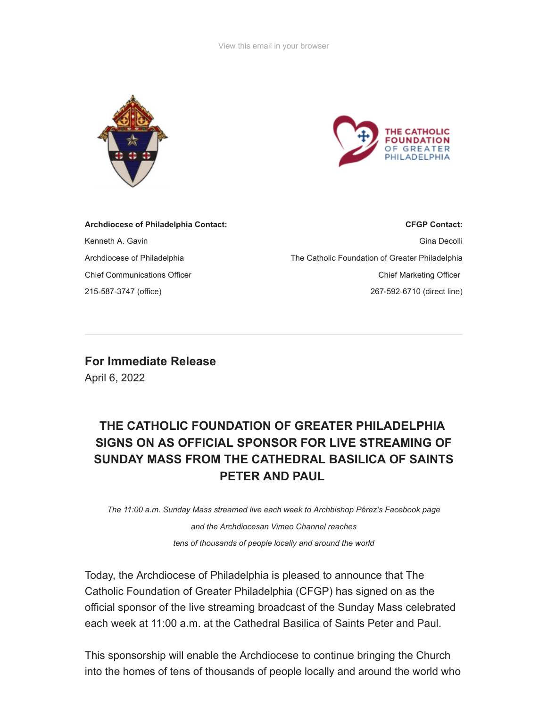



| <b>Archdiocese of Philadelphia Contact:</b> | <b>CFGP Contact:</b>                            |
|---------------------------------------------|-------------------------------------------------|
| Kenneth A. Gavin                            | Gina Decolli                                    |
| Archdiocese of Philadelphia                 | The Catholic Foundation of Greater Philadelphia |
| <b>Chief Communications Officer</b>         | <b>Chief Marketing Officer</b>                  |
| 215-587-3747 (office)                       | 267-592-6710 (direct line)                      |
|                                             |                                                 |

**For Immediate Release** April 6, 2022

## **THE CATHOLIC FOUNDATION OF GREATER PHILADELPHIA SIGNS ON AS OFFICIAL SPONSOR FOR LIVE STREAMING OF SUNDAY MASS FROM THE CATHEDRAL BASILICA OF SAINTS PETER AND PAUL**

*The 11:00 a.m. Sunday Mass streamed live each week to Archbishop Pérez's Facebook page*

*and the Archdiocesan Vimeo Channel reaches tens of thousands of people locally and around the world*

Today, the Archdiocese of Philadelphia is pleased to announce that The Catholic Foundation of Greater Philadelphia (CFGP) has signed on as the official sponsor of the live streaming broadcast of the Sunday Mass celebrated each week at 11:00 a.m. at the Cathedral Basilica of Saints Peter and Paul.

This sponsorship will enable the Archdiocese to continue bringing the Church into the homes of tens of thousands of people locally and around the world who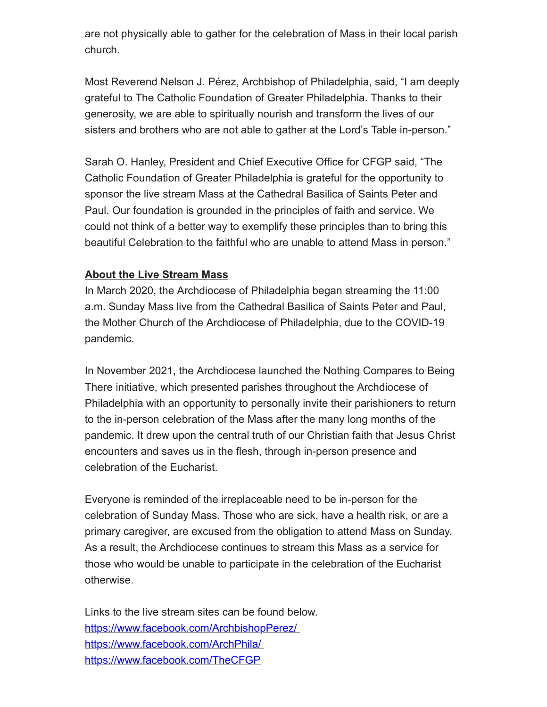are not physically able to gather for the celebration of Mass in their local parish church.

Most Reverend Nelson J. Pérez, Archbishop of Philadelphia, said, "I am deeply grateful to The Catholic Foundation of Greater Philadelphia. Thanks to their generosity, we are able to spiritually nourish and transform the lives of our sisters and brothers who are not able to gather at the Lord's Table in-person."

Sarah O. Hanley, President and Chief Executive Office for CFGP said, "The Catholic Foundation of Greater Philadelphia is grateful for the opportunity to sponsor the live stream Mass at the Cathedral Basilica of Saints Peter and Paul. Our foundation is grounded in the principles of faith and service. We could not think of a better way to exemplify these principles than to bring this beautiful Celebration to the faithful who are unable to attend Mass in person."

## **About the Live Stream Mass**

In March 2020, the Archdiocese of Philadelphia began streaming the 11:00 a.m. Sunday Mass live from the Cathedral Basilica of Saints Peter and Paul, the Mother Church of the Archdiocese of Philadelphia, due to the COVID-19 pandemic.

In November 2021, the Archdiocese launched the Nothing Compares to Being There initiative, which presented parishes throughout the Archdiocese of Philadelphia with an opportunity to personally invite their parishioners to return to the in-person celebration of the Mass after the many long months of the pandemic. It drew upon the central truth of our Christian faith that Jesus Christ encounters and saves us in the flesh, through in-person presence and celebration of the Eucharist.

Everyone is reminded of the irreplaceable need to be in-person for the celebration of Sunday Mass. Those who are sick, have a health risk, or are a primary caregiver, are excused from the obligation to attend Mass on Sunday. As a result, the Archdiocese continues to stream this Mass as a service for those who would be unable to participate in the celebration of the Eucharist otherwise.

Links to the live stream sites can be found below. [https://www.facebook.com/ArchbishopPerez/](https://www.facebook.com/ArchbishopPerez/%C2%A0) [https://www.facebook.com/ArchPhila/](https://www.facebook.com/ArchPhila/%C2%A0) <https://www.facebook.com/TheCFGP>